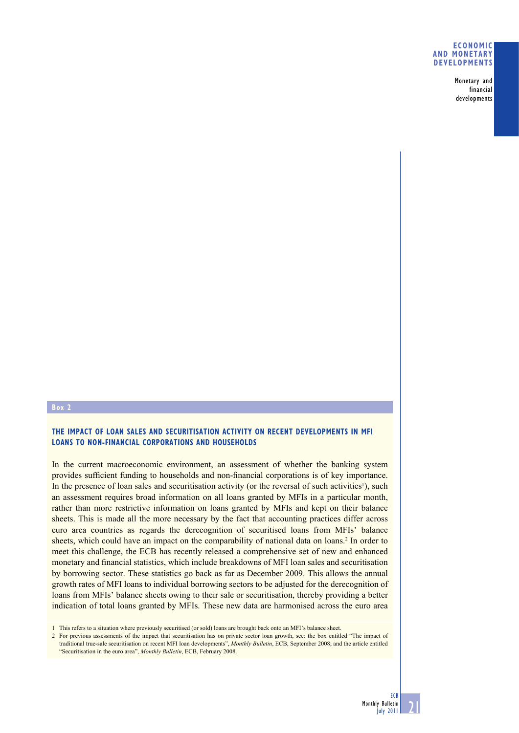#### **ECONOMIC AND MONETARY DEVELOPMENTS**

Monetary and financial developments

## **Box 2**

## **THE IMPACT OF LOAN SALES AND SECURITISATION ACTIVITY ON RECENT DEVELOPMENTS IN MFI LOANS TO NON-FINANCIAL CORPORATIONS AND HOUSEHOLDS**

In the current macroeconomic environment, an assessment of whether the banking system provides sufficient funding to households and non-financial corporations is of key importance. In the presence of loan sales and securitisation activity (or the reversal of such activities<sup>1</sup>), such an assessment requires broad information on all loans granted by MFIs in a particular month, rather than more restrictive information on loans granted by MFIs and kept on their balance sheets. This is made all the more necessary by the fact that accounting practices differ across euro area countries as regards the derecognition of securitised loans from MFIs' balance sheets, which could have an impact on the comparability of national data on loans.<sup>2</sup> In order to meet this challenge, the ECB has recently released a comprehensive set of new and enhanced monetary and financial statistics, which include breakdowns of MFI loan sales and securitisation by borrowing sector. These statistics go back as far as December 2009. This allows the annual growth rates of MFI loans to individual borrowing sectors to be adjusted for the derecognition of loans from MFIs' balance sheets owing to their sale or securitisation, thereby providing a better indication of total loans granted by MFIs. These new data are harmonised across the euro area

1 This refers to a situation where previously securitised (or sold) loans are brought back onto an MFI's balance sheet.

2 For previous assessments of the impact that securitisation has on private sector loan growth, see: the box entitled "The impact of traditional true-sale securitisation on recent MFI loan developments", *Monthly Bulletin*, ECB, September 2008; and the article entitled "Securitisation in the euro area", *Monthly Bulletin*, ECB, February 2008.

21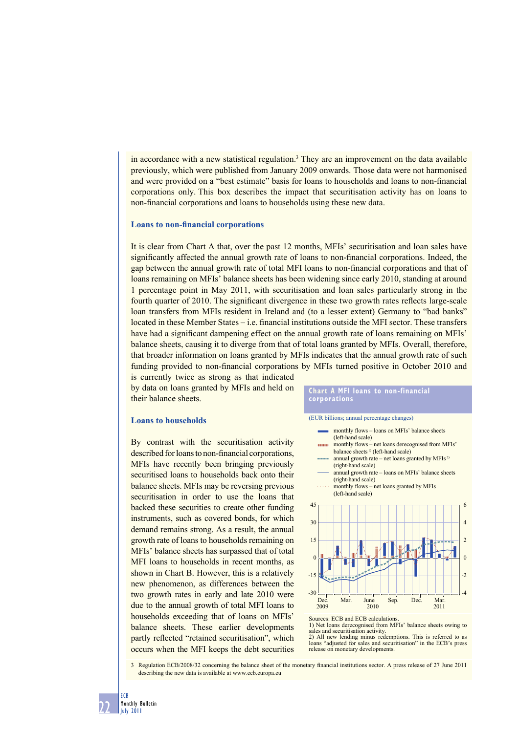in accordance with a new statistical regulation.<sup>3</sup> They are an improvement on the data available previously, which were published from January 2009 onwards. Those data were not harmonised and were provided on a "best estimate" basis for loans to households and loans to non-financial corporations only. This box describes the impact that securitisation activity has on loans to non-financial corporations and loans to households using these new data.

#### **Loans to non-financial corporations**

It is clear from Chart A that, over the past 12 months, MFIs' securitisation and loan sales have significantly affected the annual growth rate of loans to non-financial corporations. Indeed, the gap between the annual growth rate of total MFI loans to non-financial corporations and that of loans remaining on MFIs' balance sheets has been widening since early 2010, standing at around 1 percentage point in May 2011, with securitisation and loan sales particularly strong in the fourth quarter of 2010. The significant divergence in these two growth rates reflects large-scale loan transfers from MFIs resident in Ireland and (to a lesser extent) Germany to "bad banks"  $\alpha$  located in these Member States – i.e. financial institutions outside the MFI sector. These transfers have had a significant dampening effect on the annual growth rate of loans remaining on MFIs' balance sheets, causing it to diverge from that of total loans granted by MFIs. Overall, therefore, that broader information on loans granted by MFIs indicates that the annual growth rate of such funding provided to non-financial corporations by MFIs turned positive in October 2010 and

is currently twice as strong as that indicated by data on loans granted by MFIs and held on their balance sheets.

#### **Loans to households**

By contrast with the securitisation activity described for loans to non-financial corporations, MFIs have recently been bringing previously securitised loans to households back onto their balance sheets. MFIs may be reversing previous securitisation in order to use the loans that backed these securities to create other funding instruments, such as covered bonds, for which demand remains strong. As a result, the annual growth rate of loans to households remaining on MFIs' balance sheets has surpassed that of total MFI loans to households in recent months, as shown in Chart B. However, this is a relatively new phenomenon, as differences between the two growth rates in early and late 2010 were due to the annual growth of total MFI loans to households exceeding that of loans on MFIs' balance sheets. These earlier developments partly reflected "retained securitisation", which occurs when the MFI keeps the debt securities

#### **Chart A MFI loans to non-financial corporations**



monthly flows – loans on MFIs' balance sheets (left-hand scale) monthly flows – net loans derecognised from MFIs' **CONTRACT** balance sheets<sup>1)</sup> (left-hand scale) annual growth rate – net loans granted by MFIs<sup>2)</sup> (right-hand scale) annual growth rate – loans on MFIs' balance sheets (right-hand scale) monthly flows – net loans granted by MFIs (left-hand scale) 45 6 30 4 2 15  $\overline{0}$  $\epsilon$ -15 -2  $-30$   $\frac{\Box}{\Box}$ -4 Dec. Mar. June Sep. Dec. Mar. 2009 2010 2011

2) All new lending minus redemptions. This is referred to as loans "adjusted for sales and securitisation" in the ECB's press release on monetary developments.

3 Regulation ECB/2008/32 concerning the balance sheet of the monetary financial institutions sector. A press release of 27 June 2011 describing the new data is available at www.ecb.europa.eu

Sources: ECB and ECB calculations.

<sup>1)</sup> Net loans derecognised from MFIs' balance sheets owing to sales and securitisation activity.